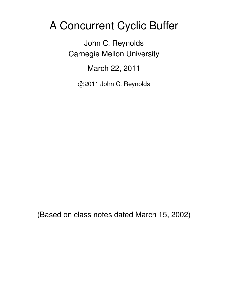## A Concurrent Cyclic Buffer

John C. Reynolds Carnegie Mellon University

March 22, 2011

c 2011 John C. Reynolds

(Based on class notes dated March 15, 2002)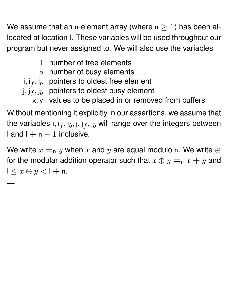We assume that an n-element array (where  $n \geq 1$ ) has been allocated at location l. These variables will be used throughout our program but never assigned to. We will also use the variables

- f number of free elements
- b number of busy elements
- i, i $_f$ , i $_b$  pointers to oldest free element
- j, $\mathop{\rm j}\nolimits_j,\mathop{\rm j}\nolimits_b$  pointers to oldest busy element

—

x, y values to be placed in or removed from buffers

Without mentioning it explicitly in our assertions, we assume that the variables i, i $_f$ , i $_b$ , j, j $_f$ , j $_b$  will range over the integers between  $land I + n - 1$  inclusive.

We write  $x =_n y$  when x and y are equal modulo n. We write  $\oplus$ for the modular addition operator such that  $x \oplus y =_n x + y$  and  $1 < x \oplus y < 1 + n$ .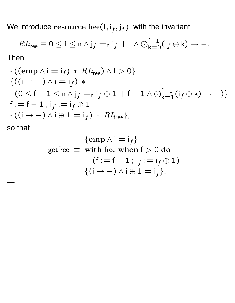We introduce  ${\rm resource}$  free $({\sf f}, {\sf i}_f, {\sf j}_f)$ , with the invariant

$$
RI_{\text{free}} \equiv 0 \leq f \leq n \wedge j_f =_n i_f + f \wedge \bigodot_{k=0}^{f-1} (i_f \oplus k) \mapsto -.
$$

Then

$$
\{((\text{emp } \land i = i_{f}) * RI_{\text{free}}) \land f > 0\}
$$
  

$$
\{((i \mapsto -) \land i = i_{f}) * (0 \leq f - 1 \leq n \land j_{f} = n i_{f} \oplus 1 + f - 1 \land \bigcirc_{k=1}^{f-1} (i_{f} \oplus k) \mapsto -)\}
$$
  

$$
f := f - 1 ; i_{f} := i_{f} \oplus 1
$$
  

$$
\{((i \mapsto -) \land i \oplus 1 = i_{f}) * RI_{\text{free}}\},
$$

so that

$$
\begin{aligned}\n\{\text{emp } \land \, \text{i} = \text{i}_{f}\} \\
\text{getfree } &\equiv \text{ with free when } \text{f} > 0 \text{ do} \\
&\quad (\text{f} := \text{f} - 1 \, ; \, \text{i}_{f} := \text{i}_{f} \oplus 1) \\
&\quad \{(\text{i} \mapsto -) \land \text{i} \oplus 1 = \text{i}_{f}\}.\n\end{aligned}
$$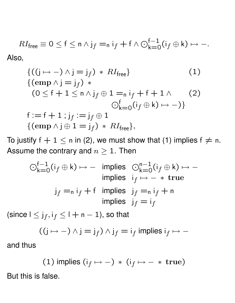$$
RI_{\text{free}} \equiv 0 \le f \le n \wedge j_f =_n i_f + f \wedge \bigodot_{k=0}^{f-1} (i_f \oplus k) \mapsto -.
$$
 Also,

$$
\begin{aligned}\n\{((j \mapsto -) \land j = j_f) \ast RI_{\text{free}}\n\} & (1) \\
\{(\text{emp } \land j = j_f) \ast \\
(0 \le f + 1 \le n \land j_f \oplus 1 = n \, i_f + f + 1 \land \\
& \bigcirc_{k=0}^f (i_f \oplus k) \mapsto -) \} \\
f := f + 1 \, ; j_f := j_f \oplus 1 \\
\{(\text{emp } \land j \oplus 1 = j_f) \ast RI_{\text{free}}\},\n\end{aligned}
$$

To justify  $f + 1 \le n$  in (2), we must show that (1) implies  $f \ne n$ . Assume the contrary and  $n \geq 1$ . Then

$$
\bigodot_{k=0}^{f-1} (i_f \oplus k) \mapsto - \text{ implies } \bigodot_{k=0}^{n-1} (i_f \oplus k) \mapsto -
$$
\n
$$
\text{implies } i_f \mapsto - * \text{ true}
$$
\n
$$
j_f =_{n} i_f + f \text{ implies } j_f =_{n} i_f + n
$$
\n
$$
\text{implies } j_f = i_f
$$

(since  $\mathsf{l}\leq\mathsf{j}_f,\mathsf{i}_f\leq\mathsf{l}+\mathsf{n}-1$ ), so that

$$
((j \mapsto -) \wedge j = j_f) \wedge j_f = i_f \text{ implies } i_f \mapsto -
$$

and thus

(1) implies 
$$
(i_f \mapsto -)
$$
 \*  $(i_f \mapsto -$  \* true)

But this is false.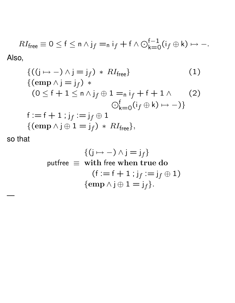$$
RI_{\text{free}} \equiv 0 \le f \le n \wedge j_f =_n i_f + f \wedge \bigodot_{k=0}^{f-1} (i_f \oplus k) \mapsto -.
$$
 Also,

$$
\begin{aligned}\n\{((j \mapsto -) \land j = j_f) * RI_{\text{free}}\n\} & (1) \\
\{(\text{emp } \land j = j_f) * \\
(0 \le f + 1 \le n \land j_f \oplus 1 = n \, i_f + f + 1 \land \\
& \bigcirc_{k=0}^f (i_f \oplus k) \mapsto -) \} \\
f := f + 1; j_f := j_f \oplus 1 \\
\{(\text{emp } \land j \oplus 1 = j_f) * RI_{\text{free}}\},\n\end{aligned}
$$

so that

$$
\{(j \mapsto -) \land j = j_f\}
$$
\n
$$
\text{putfree } \equiv \text{ with free when true do}
$$
\n
$$
(f := f + 1 ; j_f := j_f \oplus 1)
$$
\n
$$
\{\text{emp } \land j \oplus 1 = j_f\}.
$$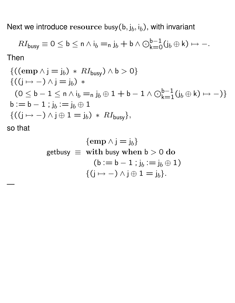Next we introduce  ${\rm resource}$  busy $({\sf b},{\sf j}_b,{\sf i}_b)$ , with invariant

$$
RI_{\text{busy}} \equiv 0 \leq b \leq n \wedge i_b =_{n} j_b + b \wedge \bigodot_{k=0}^{b-1} (j_b \oplus k) \mapsto -.
$$

Then

$$
\{((\text{emp } \land j = j_b) * RI_{\text{busy}}) \land b > 0\}
$$
  

$$
\{((j \mapsto -) \land j = j_b) * (0 \leq b - 1 \leq n \land i_b = n j_b \oplus 1 + b - 1 \land \bigcirc_{k=1}^{b-1} (j_b \oplus k) \mapsto -)\}
$$
  

$$
b := b - 1; j_b := j_b \oplus 1
$$
  

$$
\{((j \mapsto -) \land j \oplus 1 = j_b) * RI_{\text{busy}}\},
$$
  
so that

$$
\begin{aligned}\n\{\text{emp } \land \text{j} = \text{j}_b\} \\
\text{getbusy} &\equiv \text{ with busy when } \text{b} > 0 \text{ do} \\
&\quad (\text{b} := \text{b} - 1 \text{ ; } \text{j}_b := \text{j}_b \oplus 1) \\
&\quad \{(\text{j} \mapsto -) \land \text{j} \oplus 1 = \text{j}_b\}.\n\end{aligned}
$$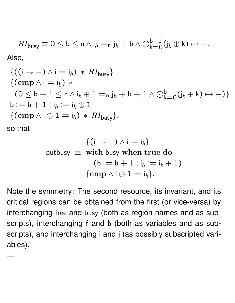$$
RI_{\text{busy}} \equiv 0 \leq b \leq n \land i_b =_{n} j_b + b \land \bigodot_{k=0}^{b-1} (j_b \oplus k) \mapsto -.
$$
 Also,

$$
\begin{aligned}\n\{((i \mapsto -) \land i = i_b) \ast RI_{\text{busy}}\} \\
\{(\text{emp } \land i = i_b) \ast \\
(0 \leq b + 1 \leq n \land i_b \oplus 1 = n j_b + b + 1 \land \bigcirc_{k=0}^{b} (j_b \oplus k) \mapsto -)\} \\
b := b + 1 \, ; i_b := i_b \oplus 1 \\
\{(\text{emp } \land i \oplus 1 = i_b) \ast RI_{\text{busy}}\}, \\
\text{so that}\n\end{aligned}
$$

$$
\{(i \mapsto -) \land i = i_b\}
$$
\n
$$
\text{putbusy } \equiv \text{ with busy when true do}
$$
\n
$$
(b := b + 1 \text{ ; } i_b := i_b \oplus 1)
$$
\n
$$
\{\text{emp } \land i \oplus 1 = i_b\}.
$$

Note the symmetry: The second resource, its invariant, and its critical regions can be obtained from the first (or vice-versa) by interchanging free and busy (both as region names and as subscripts), interchanging f and b (both as variables and as subscripts), and interchanging i and j (as possibly subscripted variables).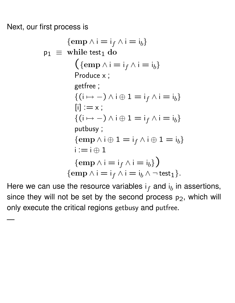Next, our first process is

—

$$
\begin{aligned}\n\{\text{emp } \land i = i_f \land i = i_b\} \\
\text{p}_1 &\equiv \text{while test}_1 \text{ do} \\
&\quad \left(\{\text{emp } \land i = i_f \land i = i_b\} \right. \\
\text{Produce } x &\quad \text{getfree } ; \\
&\quad \left\{ (i \mapsto -) \land i \oplus 1 = i_f \land i = i_b \right\} \\
&\quad \left\{ (i \mapsto -) \land i \oplus 1 = i_f \land i = i_b \right\} \\
\text{putbusy } ; \\
&\quad \left\{ \text{emp } \land i \oplus 1 = i_f \land i \oplus 1 = i_b \right\} \\
&\quad \left\{ \text{emp } \land i = i_f \land i = i_b \right\} \right) \\
\text{temp } \land i = i_f \land i = i_b \land \neg \text{test}_1 \}.\n\end{aligned}
$$

Here we can use the resource variables  $\mathsf{i}_f$  and  $\mathsf{i}_b$  in assertions, since they will not be set by the second process  $p_2$ , which will only execute the critical regions getbusy and putfree.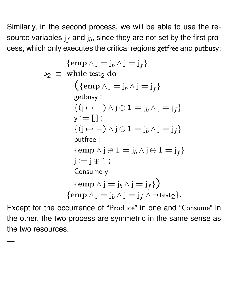Similarly, in the second process, we will be able to use the resource variables  $\mathsf{j}_f$  and  $\mathsf{j}_b$ , since they are not set by the first process, which only executes the critical regions getfree and putbusy:

$$
\begin{aligned}\n\{\text{emp } \land \text{j} = \text{j}_b \land \text{j} = \text{j}_f\} \\
\text{p}_2 &\equiv \text{ while test}_2 \text{ do} \\
&\quad \left(\{\text{emp } \land \text{j} = \text{j}_b \land \text{j} = \text{j}_f\} \right. \\
&\quad \text{getbusy ;} \\
&\quad \left\{(\text{j} \mapsto -) \land \text{j} \oplus 1 = \text{j}_b \land \text{j} = \text{j}_f\right\} \\
\text{y} &:= \text{[j]} \\
&\quad \left\{(\text{j} \mapsto -) \land \text{j} \oplus 1 = \text{j}_b \land \text{j} = \text{j}_f\right\} \\
&\quad \text{putfree ;} \\
&\quad \left\{\text{emp } \land \text{j} \oplus 1 = \text{j}_b \land \text{j} \oplus 1 = \text{j}_f\right\} \\
&\quad \text{j} := \text{j} \oplus 1 \\
&\quad \text{Consum y} \\
\text{temp } \land \text{j} = \text{j}_b \land \text{j} = \text{j}_f \} \\
&\quad \text{temp } \land \text{j} = \text{j}_b \land \text{j} = \text{j}_f \land \neg \text{test}_2 \}.\n\end{aligned}
$$

Except for the occurrence of "Produce" in one and "Consume" in the other, the two process are symmetric in the same sense as the two resources.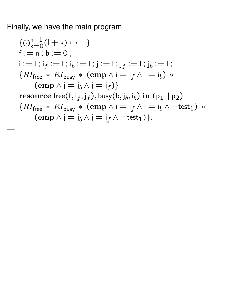Finally, we have the main program

$$
\{ \bigcirc_{k=0}^{n-1} (l+k) \mapsto - \}
$$
\n
$$
f := n; b := 0;
$$
\n
$$
i := l; i_f := l; i_b := l; j := l; j_f := l; j_b := l;
$$
\n
$$
\{ RI_{\text{free}} * RI_{\text{busy}} * (\text{emp} \land i = i_f \land i = i_b) * (\text{emp} \land j = j_b \land j = j_f) \}
$$
\n
$$
\text{resource free}(f, i_f, j_f), \text{busy}(b, j_b, i_b) \text{ in (p1 || p2)}
$$
\n
$$
\{ RI_{\text{free}} * RI_{\text{busy}} * (\text{emp} \land i = i_f \land i = i_b \land \neg \text{test}_1) * (\text{emp} \land j = j_b \land j = j_f \land \neg \text{test}_1) \}.
$$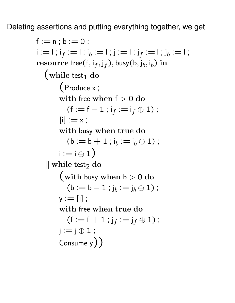Deleting assertions and putting everything together, we get

```
f := n : b := 0:
\mathsf{i} := \mathsf{I}; i_f := \mathsf{I}; i_b := \mathsf{I}; j:= \mathsf{I}; j_f := \mathsf{I}; j_b := \mathsf{I};
{\bf resource\ free}({\mathsf f},{\mathsf i}_f,{\mathsf j}_f), busy({\mathsf b},{\mathsf j}_b,{\mathsf i}_b) {\bf in}\int while test<sub>1</sub> do
          (Produce x ;
          with free when f > 0 do
              (f := f - 1 ; i_f := i_f \oplus 1);
          [i] := x;with busy when true do
              (b := b + 1 ; i_b := i_b \oplus 1);
          i := i \oplus 1\parallel while test<sub>2</sub> do
          (with busy when b > 0 do
              (b := b - 1 ; j_b := j_b \oplus 1);
          y := [i];
          with free when true do
              (f := f + 1 ; j_f := j_f \oplus 1);
          j := j \oplus 1;Consume y) )
```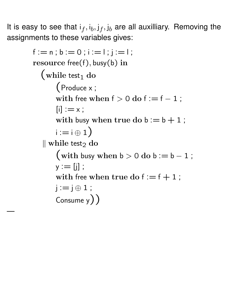It is easy to see that  $i_f, i_b, j_f, j_b$  are all auxilliary. Removing the assignments to these variables gives:

```
f := n; b := 0; i := 1; i := 1;
resource free(f), busy(b) in
  (while test<sub>1</sub> do
       (Produce x ;
       with free when f > 0 do f := f - 1;
       [i] := x;with busy when true do b := b + 1;
       i := i \oplus 1\parallel while test<sub>2</sub> do
       (with busy when b > 0 do b := b - 1;
       y := [j];
       with free when true do f := f + 1;
       i := j \oplus 1;
       Consume y) )
```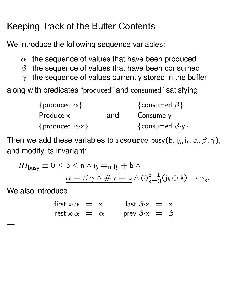## Keeping Track of the Buffer Contents

We introduce the following sequence variables:

- $\alpha$  the sequence of values that have been produced
- $\beta$  the sequence of values that have been consumed
- $\gamma$  the sequence of values currently stored in the buffer

along with predicates "produced" and consumed" satisfying

| {produced $\alpha$ }         |     | {consumed $\beta$ }         |  |  |  |
|------------------------------|-----|-----------------------------|--|--|--|
| Produce x                    | and | Consume y                   |  |  |  |
| {produced $\alpha \cdot x$ } |     | {consumed $\beta \cdot y$ } |  |  |  |

Then we add these variables to  ${\rm resource}$  busy $({\sf b}, {\sf j}_b, {\sf i}_b, \alpha, \beta, \gamma),$ and modify its invariant:

$$
RI_{\text{busy}} \equiv 0 \leq b \leq n \land i_b = n j_b + b \land
$$

$$
\alpha = \beta \cdot \gamma \land \# \gamma = b \land \bigcirc_{k=0}^{b-1} (j_b \oplus k) \mapsto \gamma_k.
$$

We also introduce

| first $x \cdot \alpha = x$     |  | $\int \text{last } \beta \cdot x = x$ |  |
|--------------------------------|--|---------------------------------------|--|
| rest x $\cdot \alpha = \alpha$ |  | prev $\beta \cdot x = \beta$          |  |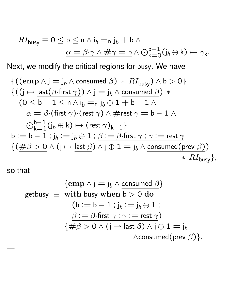$$
RI_{\text{busy}} \equiv 0 \leq b \leq n \land i_b = n j_b + b \land
$$

$$
\alpha = \beta \cdot \gamma \land \# \gamma = b \land \bigcirc_{k=0}^{b-1} (j_b \oplus k) \mapsto \underline{\gamma_k}.
$$

Next, we modify the critical regions for busy. We have

$$
\{((\text{emp } \land j = j_b \land \text{ consumed } \beta) * RI_{\text{busy}}) \land b > 0\}
$$
  

$$
\{((j \mapsto \text{last}(\beta \cdot \text{first } \gamma)) \land j = j_b \land \text{ consumed } \beta) * \text{(0 \le b - 1 \le n \land i_b = n j_b \oplus 1 + b - 1 \land \text{(0 \le b - 1 \le n \land i_b = n j_b \oplus 1 + b - 1 \land \text{(1 \le b \le n \land \text{(rest \land \land \land \# rest \land \text{6}) = b - 1 \land \text{(1 \le b \le n \land \text{(1 \le b \land \text{(1 \le b \land \text{(1 \le b \land \text{(1 \le b \land \text{(1 \le b \land \text{(1 \le b \land \text{(1 \le b \land \text{(1 \le b \land \text{(1 \le b \land \text{(1 \le b \land \text{(1 \le b \land \text{(1 \le b \land \text{(1 \le b \land \text{(1 \le b \land \text{(1 \le b \land \text{(1 \le b \land \text{(1 \le b \land \text{(1 \le b \land \text{(1 \le b \land \text{(1 \le b \land \text{(1 \le b \land \text{(1 \le b \land \text{(1 \le b \land \text{(1 \le b \land \text{(1 \le b \land \text{(1 \le b \land \text{(1 \le b \land \text{(1 \le b \land \text{(1 \le b \land \text{(1 \le b \land \text{(1 \le b \land \text{(1 \le b \land \text{(1 \le b \land \text{(1 \le b \land \text{(1 \le b \land \text{(1 \le b \land \text{(1 \le b \land \text{(1 \le b \land \text{(1 \le b \land \text{(1 \le b \land \text{(1 \le b \land \text{(1 \le b \land \text{(1 \le b \land \text{(1 \le b \land \text{(1 \le b \land \text{(1 \le b \land \text{(1 \le b \land \text{(1 \le b \land \text{(1 \le b \land \text{(1 \le b \land \text{(1 \le b \land \text{(1 \le b \land \text{(1 \le b \land \text{(1 \le b \land \text{(1 \le b \land \text{(1 \le b \land \text{(1 \le b \land \text{(1 \le b \land \text{(1 \le b \land \text{(1 \le b \land \text{(1 \le b \land \text{(1
$$

so that

$$
\begin{aligned}\n\{\text{emp } \land \text{j} = \text{j}_b \land \text{ consumed } \beta\} \\
\text{getbusy } & \equiv \text{ with busy when } \text{b} > 0 \text{ do} \\
&\quad (\text{b} := \text{b} - 1 \text{ ; } \text{j}_b := \text{j}_b \oplus 1 \text{ ;} \\
&\quad \beta := \beta \cdot \text{first} \land \text{j} \land \text{j} \oplus 1 = \text{j}_b \\
&\quad \{\# \beta > 0 \land (\text{j} \mapsto \text{last } \beta) \land \text{j} \oplus 1 = \text{j}_b \land \text{consumed}(\text{prev } \beta)\}.\n\end{aligned}
$$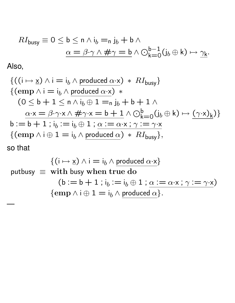$$
RI_{\text{busy}} \equiv 0 \leq b \leq n \land i_b = n j_b + b \land
$$

$$
\alpha = \beta \cdot \gamma \land \# \gamma = b \land \bigcirc_{k=0}^{b-1} (j_b \oplus k) \mapsto \underline{\gamma_k}.
$$

Also,

$$
\{((i \mapsto \underline{x}) \land i = i_b \land \text{produced } \alpha \cdot \underline{x}) * RI_{\text{busy}}\}\
$$
  
\n
$$
\{(\text{emp } \land i = i_b \land \text{produced } \alpha \cdot \underline{x}) * \ (0 \leq b + 1 \leq n \land i_b \oplus 1 = n j_b + b + 1 \land \alpha \cdot \underline{x} = \beta \cdot \gamma \cdot \underline{x} \land \# \gamma \cdot \underline{x} = b + 1 \land \bigcirc_{k=0}^{b} (j_b \oplus k) \mapsto (\gamma \cdot \underline{x})_k)\}
$$
  
\n
$$
b := b + 1 ; i_b := i_b \oplus 1 ; \underline{\alpha} := \alpha \cdot \underline{x} ; \gamma := \gamma \cdot \underline{x} \{(\text{emp } \land i \oplus 1 = i_b \land \text{produced } \alpha) * RI_{\text{busy}}\},\}
$$
  
\nso that

$$
\{(i \mapsto \underline{x}) \land i = i_b \land \text{produced } \alpha \cdot \underline{x}\}
$$
\n
$$
\text{putbusy } \equiv \text{ with busy when true do}
$$
\n
$$
(b := b + 1 \text{ ; } i_b := i_b \oplus 1 \text{ ; } \alpha := \alpha \cdot \underline{x} \text{ ; } \gamma := \gamma \cdot \underline{x})
$$
\n
$$
\{\text{emp } \land i \oplus 1 = i_b \land \text{produced } \alpha\}.
$$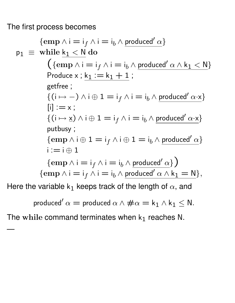The first process becomes

—<br>—

$$
\begin{aligned}\n\{ \text{emp } \land i = i_{f} \land i = i_{b} \land \text{produced}' \, \alpha \} \\
p_{1} & \equiv \text{ while } \underbrace{k_{1} < N}_{i} \text{ do} \\
&\quad \left( \{ \text{emp } \land i = i_{f} \land i = i_{b} \land \text{produced}' \, \alpha \land k_{1} < N \} \right. \\
&\quad \text{Produce } x : \underbrace{k_{1} := k_{1} + 1}_{g \in \text{free } i} ; \\
&\quad \left\{ (i \mapsto -) \land i \oplus 1 = i_{f} \land i = i_{b} \land \text{produced}' \, \alpha \cdot x \right\} \\
&\quad [i] := x ; \\
&\quad \left\{ (i \mapsto \underline{x}) \land i \oplus 1 = i_{f} \land i = i_{b} \land \text{produced}' \, \alpha \cdot x \right\} \\
&\quad \text{putbusy } ; \\
&\quad \left\{ \text{emp } \land i \oplus 1 = i_{f} \land i \oplus 1 = i_{b} \land \text{produced}' \, \alpha \right\} \\
&\quad i := i \oplus 1 \\
&\quad \left\{ \text{emp } \land i = i_{f} \land i = i_{b} \land \text{produced}' \, \alpha \land k_{1} = N \right\}, \\
\text{Here the variable } k_{1} \text{ keeps track of the length of } \alpha \text{, and} \\
&\quad \text{produced}' \, \alpha = \text{produced } \alpha \land \# \alpha = k_{1} \land k_{1} \leq N.\n\end{aligned}
$$

The while command terminates when  $k_1$  reaches N.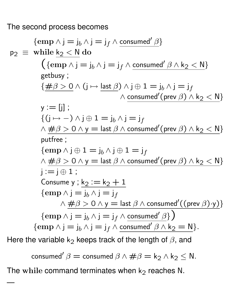The second process becomes

$$
\begin{array}{rcl}\n\{\text{emp } \land j = j_{b} \land j = j_{f} \land \text{consumed'} \ \beta\} \\
p_{2} & \equiv \text{ while } \ \underline{k_{2} < N} \ \text{do} \\
&\quad \left(\{\text{emp } \land j = j_{b} \land j = j_{f} \land \text{consumed'} \ \beta \land k_{2} < N\right\} \\
\text{getbusy} \ ; \\
&\quad \left\{\# \beta > 0 \land (j \mapsto \underline{\text{last}} \ \beta) \land j \oplus 1 = j_{b} \land j = j_{f} \land \text{consumed'}(\text{prev } \beta) \land k_{2} < N\right\} \\
y := [j] \ ; \\
&\quad \left\{\left(j \mapsto -\right) \land j \oplus 1 = j_{b} \land j = j_{f} \land \text{consumed'}(\text{prev } \beta) \land k_{2} < N\right\} \\
\text{putfree} \ ; \\
\{\text{emp } \land j \oplus 1 = j_{b} \land j \oplus 1 = j_{f} \land \text{ass } \beta \land \text{consumed'}(\text{prev } \beta) \land k_{2} < N\} \\
j := j \oplus 1 \ ; \\
\text{Consum } y : \ \underline{k_{2} := k_{2} + 1} \\
\{\text{emp } \land j = j_{b} \land j = j_{f} \land \text{consumed'}(\text{prev } \beta) \land k_{2} < N\} \\
\{\text{emp } \land j = j_{b} \land j = j_{f} \land \text{consumed'} \ \beta\} \\
\{\text{emp } \land j = j_{b} \land j = j_{f} \land \text{consumed'} \ \beta \land k_{2} = N\}.\n\end{array}
$$
\nHere the variable  $k_{2}$  keeps track of the length of  $\beta$ , and

consumed'  $\beta =$  consumed  $\beta \wedge \# \beta =$  k<sub>2</sub>  $\wedge$  k<sub>2</sub>  $\leq$  N. The while command terminates when  $k_2$  reaches N.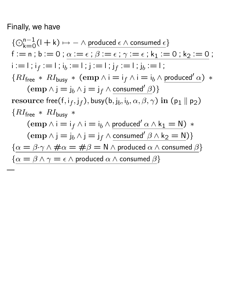## Finally, we have

—<br>—

 $\{ \bigodot_{k=0}^{n-1} (I + k) \mapsto - \wedge \underline{\text{produced } \epsilon \wedge \text{ consumed } \epsilon} \}$  $f := n$ ;  $b := 0$ ;  $\alpha := \epsilon$ ;  $\beta := \epsilon$ ;  $\gamma := \epsilon$ ;  $k_1 := 0$ ;  $k_2 := 0$ ;  $\mathsf{i} := \mathsf{I}$ ; i $_f := \mathsf{I}$ ; i $_b := \mathsf{I}$ ; j: $= \mathsf{I}$ ; j $_f := \mathsf{I}$ ; j $_b := \mathsf{I}$ ;  ${R}I_{\text{free}} * RI_{\text{busy}} * (emp \wedge i = i_f \wedge i = i_b \wedge produced' \alpha) *$  $(\text{emp } \wedge \text{j} = \text{j}_b \wedge \text{j} = \text{j}_f \wedge \text{consumed'} \beta)$  ${\rm resource\,\, free}({\sf f}, {\sf i}_f, {\sf j}_f), {\sf busy}({\sf b}, {\sf j}_b, {\sf i}_b, \alpha, \beta, \gamma) \; {\sf in}\;({\sf p}_1 \parallel {\sf p}_2)$  ${R}I_{\text{free}} * RI_{\text{busv}} *$  $(\text{emp } \wedge i = i_f \wedge i = i_b \wedge \text{produced}' \alpha \wedge k_1 = N) *$  $(\text{emp } \wedge j = j_b \wedge j = j_f \wedge \text{consumed'} \beta \wedge k_2 = N)$  $\{\alpha = \beta \cdot \gamma \wedge \# \alpha = \#\beta = \mathsf{N} \wedge \mathsf{produced} \alpha \wedge \mathsf{consumed} \beta\}$  $\{\alpha = \beta \wedge \gamma = \epsilon \wedge \text{produced } \alpha \wedge \text{consumed } \beta\}$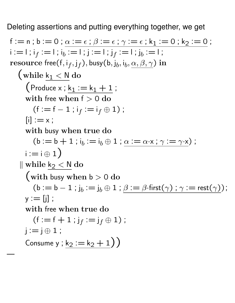Deleting assertions and putting everything together, we get

$$
f := n; b := 0; \alpha := \epsilon; \beta := \epsilon; \gamma := \epsilon; k_1 := 0; k_2 := 0;
$$
\n
$$
i := 1; i_f := 1; i_b := 1; j_f := 1; j_f := 1; j_b := 1;
$$
\n
$$
resource free(f, i_f, j_f), bus(b, j_b, i_b, \alpha, \beta, \gamma) in
$$
\n
$$
\left(\text{while } \underbrace{k_1 < N \text{ do}} \left( \text{Produce } x; \underbrace{k_1 := k_1 + 1}_{\text{with free when } f > 0 \text{ do}} \right) \right. \left. \left( f := f - 1; i_f := i_f \oplus 1 \right);
$$
\n
$$
[i] := x;
$$
\n
$$
\text{with busy when true do}
$$
\n
$$
(b := b + 1; i_b := i_b \oplus 1; \alpha := \alpha \cdot x; \gamma := \gamma \cdot x);
$$
\n
$$
i := i \oplus 1
$$
\n
$$
\left| \text{while } \underbrace{k_2 < N}_{\text{with busy when } b > 0 \text{ do}} \right.
$$
\n
$$
\left( \text{with busy when } b > 0 \text{ do}
$$
\n
$$
(b := b - 1; j_b := j_b \oplus 1; \beta := \beta \cdot \text{first}(\gamma); \gamma := \text{rest}(\gamma);
$$
\n
$$
y := [j];
$$
\n
$$
\text{with free when true do}
$$
\n
$$
(f := f + 1; j_f := j_f \oplus 1);
$$
\n
$$
j := j \oplus 1;
$$
\n
$$
\text{Consum } y; \underbrace{k_2 := k_2 + 1}_{\text{from 1}})
$$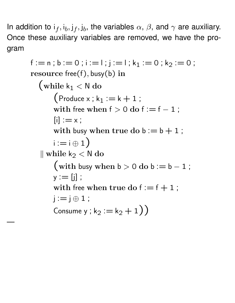In addition to  ${\mathsf i}_f, {\mathsf i}_b, {\mathsf j}_f, {\mathsf j}_b,$  the variables  $\alpha,\,\beta,$  and  $\gamma$  are auxiliary. Once these auxiliary variables are removed, we have the program

```
f := n; b := 0; i := 1; j := 1; k_1 := 0; k_2 := 0;
resource free(f), busy(b) in
  (while k_1 < N do
       (Produce x; k_1 := k + 1;
       with free when f > 0 do f := f - 1;
       [i] := x;with busy when true do b := b + 1;
       i := i \oplus 1\parallel while k<sub>2</sub> < N do
       (with busy when b > 0 do b := b - 1;
       y := [j];
       with free when true do f := f + 1;
      j := j \oplus 1;
       Consume y ; k_2 := k_2 + 1)
```